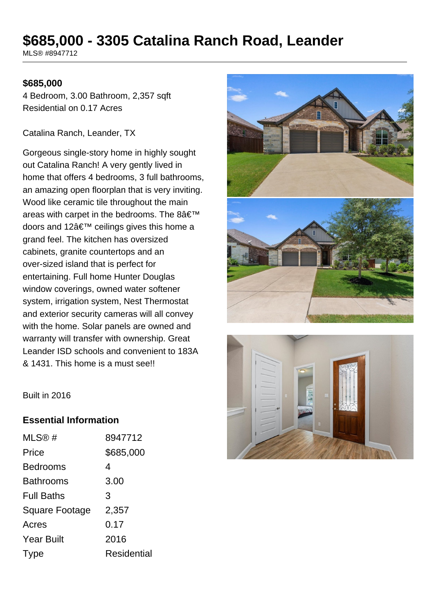# **\$685,000 - 3305 Catalina Ranch Road, Leander**

MLS® #8947712

#### **\$685,000**

4 Bedroom, 3.00 Bathroom, 2,357 sqft Residential on 0.17 Acres

Catalina Ranch, Leander, TX

Gorgeous single-story home in highly sought out Catalina Ranch! A very gently lived in home that offers 4 bedrooms, 3 full bathrooms, an amazing open floorplan that is very inviting. Wood like ceramic tile throughout the main areas with carpet in the bedrooms. The  $8\hat{a} \in \mathbb{T}^M$ doors and 12 $\hat{a} \in \mathbb{N}$  ceilings gives this home a grand feel. The kitchen has oversized cabinets, granite countertops and an over-sized island that is perfect for entertaining. Full home Hunter Douglas window coverings, owned water softener system, irrigation system, Nest Thermostat and exterior security cameras will all convey with the home. Solar panels are owned and warranty will transfer with ownership. Great Leander ISD schools and convenient to 183A & 1431. This home is a must see!!





Built in 2016

### **Essential Information**

| MLS@#             | 8947712     |
|-------------------|-------------|
| Price             | \$685,000   |
| <b>Bedrooms</b>   | 4           |
| <b>Bathrooms</b>  | 3.00        |
| <b>Full Baths</b> | 3           |
| Square Footage    | 2,357       |
| Acres             | 0.17        |
| <b>Year Built</b> | 2016        |
| Type              | Residential |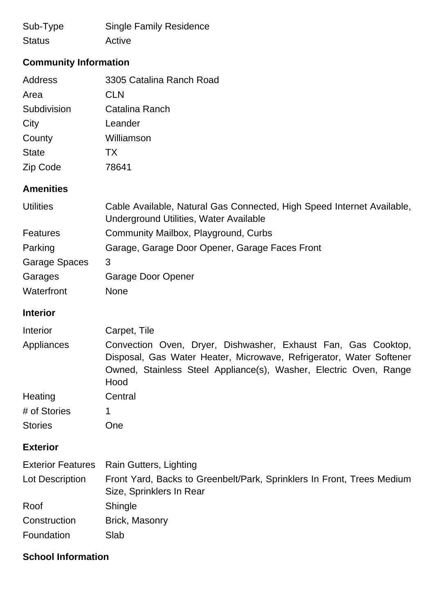| Sub-Type      | <b>Single Family Residence</b> |
|---------------|--------------------------------|
| <b>Status</b> | Active                         |

## **Community Information**

| Address      | 3305 Catalina Ranch Road |
|--------------|--------------------------|
| Area         | <b>CLN</b>               |
| Subdivision  | Catalina Ranch           |
| City         | Leander                  |
| County       | Williamson               |
| <b>State</b> | TX                       |
| Zip Code     | 78641                    |

### **Amenities**

| <b>Utilities</b>     | Cable Available, Natural Gas Connected, High Speed Internet Available,<br>Underground Utilities, Water Available |
|----------------------|------------------------------------------------------------------------------------------------------------------|
| <b>Features</b>      | Community Mailbox, Playground, Curbs                                                                             |
| Parking              | Garage, Garage Door Opener, Garage Faces Front                                                                   |
| <b>Garage Spaces</b> | 3                                                                                                                |
| Garages              | Garage Door Opener                                                                                               |
| Waterfront           | <b>None</b>                                                                                                      |

### **Interior**

| Interior                 | Carpet, Tile                                                                                                                                                                                                      |
|--------------------------|-------------------------------------------------------------------------------------------------------------------------------------------------------------------------------------------------------------------|
| Appliances               | Convection Oven, Dryer, Dishwasher, Exhaust Fan, Gas Cooktop,<br>Disposal, Gas Water Heater, Microwave, Refrigerator, Water Softener<br>Owned, Stainless Steel Appliance(s), Washer, Electric Oven, Range<br>Hood |
| Heating                  | Central                                                                                                                                                                                                           |
| # of Stories             | 1                                                                                                                                                                                                                 |
| <b>Stories</b>           | One                                                                                                                                                                                                               |
| <b>Exterior</b>          |                                                                                                                                                                                                                   |
| <b>Exterior Features</b> | Rain Gutters, Lighting                                                                                                                                                                                            |
| Lot Description          | Front Yard, Backs to Greenbelt/Park, Sprinklers In Front, Trees Medium<br>Size, Sprinklers In Rear                                                                                                                |
| Roof                     | <b>Shingle</b>                                                                                                                                                                                                    |

| Construction | <b>Brick, Masonry</b> |
|--------------|-----------------------|
|              |                       |

Foundation Slab

### **School Information**